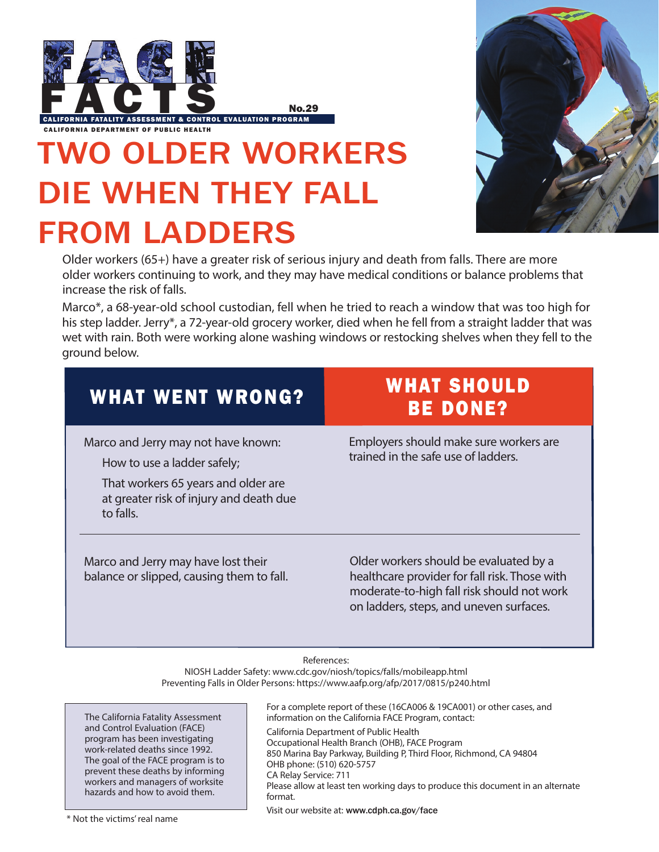

TWO OLDER WORKERS DIE WHEN THEY FALL FROM LADDERS



Older workers (65+) have a greater risk of serious injury and death from falls. There are more older workers continuing to work, and they may have medical conditions or balance problems that increase the risk of falls.

Marco\*, a 68-year-old school custodian, fell when he tried to reach a window that was too high for his step ladder. Jerry\*, a 72-year-old grocery worker, died when he fell from a straight ladder that was wet with rain. Both were working alone washing windows or restocking shelves when they fell to the ground below.

| <b>WHAT WENT WRONG?</b>                                                                                                                                                                                                                                            | <b>WHAT SHOULD</b><br><b>BE DONE?</b>                                                                                                                                            |
|--------------------------------------------------------------------------------------------------------------------------------------------------------------------------------------------------------------------------------------------------------------------|----------------------------------------------------------------------------------------------------------------------------------------------------------------------------------|
| Marco and Jerry may not have known:<br>How to use a ladder safely;<br>That workers 65 years and older are<br>at greater risk of injury and death due<br>to falls.                                                                                                  | Employers should make sure workers are<br>trained in the safe use of ladders.                                                                                                    |
| Marco and Jerry may have lost their<br>balance or slipped, causing them to fall.                                                                                                                                                                                   | Older workers should be evaluated by a<br>healthcare provider for fall risk. Those with<br>moderate-to-high fall risk should not work<br>on ladders, steps, and uneven surfaces. |
| References:<br>NIOSH Ladder Safety: www.cdc.gov/niosh/topics/falls/mobileapp.html<br>Preventing Falls in Older Persons: https://www.aafp.org/afp/2017/0815/p240.html<br>$\Gamma_{\text{max}}$ consider the set of the set (166 A006.0, 106 A001) candomic constant |                                                                                                                                                                                  |

The California Fatality Assessment and Control Evaluation (FACE) program has been investigating work-related deaths since 1992. The goal of the FACE program is to prevent these deaths by informing workers and managers of worksite hazards and how to avoid them.

For a complete report of these (16CA006 & 19CA001) or other cases, and information on the California FACE Program, contact: California Department of Public Health Occupational Health Branch (OHB), FACE Program 850 Marina Bay Parkway, Building P, Third Floor, Richmond, CA 94804 OHB phone: (510) 620-5757 CA Relay Service: 711 Please allow at least ten working days to produce this document in an alternate format. Visit our website at: <www.cdph.ca.gov/face>\* Not the victims' real name